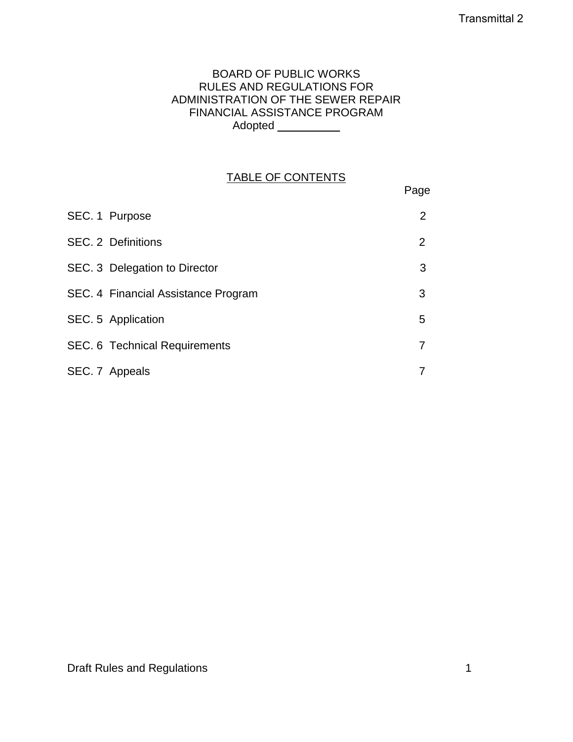### BOARD OF PUBLIC WORKS RULES AND REGULATIONS FOR ADMINISTRATION OF THE SEWER REPAIR FINANCIAL ASSISTANCE PROGRAM Adopted \_\_\_\_\_\_\_\_\_\_\_

# TABLE OF CONTENTS

Page

| SEC. 1 Purpose                       | 2 |
|--------------------------------------|---|
| SEC. 2 Definitions                   | 2 |
| SEC. 3 Delegation to Director        | 3 |
| SEC. 4 Financial Assistance Program  | 3 |
| SEC. 5 Application                   | 5 |
| <b>SEC. 6 Technical Requirements</b> |   |
| SEC. 7 Appeals                       |   |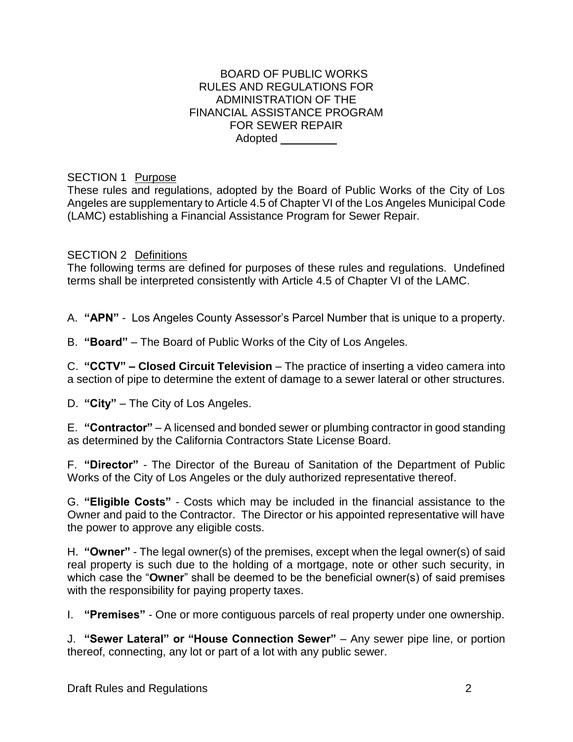#### BOARD OF PUBLIC WORKS RULES AND REGULATIONS FOR ADMINISTRATION OF THE FINANCIAL ASSISTANCE PROGRAM FOR SEWER REPAIR Adopted \_\_\_\_\_\_\_\_\_

### SECTION 1 Purpose

These rules and regulations, adopted by the Board of Public Works of the City of Los Angeles are supplementary to Article 4.5 of Chapter VI of the Los Angeles Municipal Code (LAMC) establishing a Financial Assistance Program for Sewer Repair.

### SECTION 2 Definitions

The following terms are defined for purposes of these rules and regulations. Undefined terms shall be interpreted consistently with Article 4.5 of Chapter VI of the LAMC.

A. **"APN"** - Los Angeles County Assessor's Parcel Number that is unique to a property.

B. **"Board"** – The Board of Public Works of the City of Los Angeles.

C. **"CCTV" – Closed Circuit Television** – The practice of inserting a video camera into a section of pipe to determine the extent of damage to a sewer lateral or other structures.

D. **"City"** – The City of Los Angeles.

E. **"Contractor"** – A licensed and bonded sewer or plumbing contractor in good standing as determined by the California Contractors State License Board.

F. **"Director"** - The Director of the Bureau of Sanitation of the Department of Public Works of the City of Los Angeles or the duly authorized representative thereof.

G. **"Eligible Costs"** - Costs which may be included in the financial assistance to the Owner and paid to the Contractor. The Director or his appointed representative will have the power to approve any eligible costs.

H. **"Owner"** - The legal owner(s) of the premises, except when the legal owner(s) of said real property is such due to the holding of a mortgage, note or other such security, in which case the "**Owner**" shall be deemed to be the beneficial owner(s) of said premises with the responsibility for paying property taxes.

I. **"Premises"** - One or more contiguous parcels of real property under one ownership.

J. **"Sewer Lateral" or "House Connection Sewer"** – Any sewer pipe line, or portion thereof, connecting, any lot or part of a lot with any public sewer.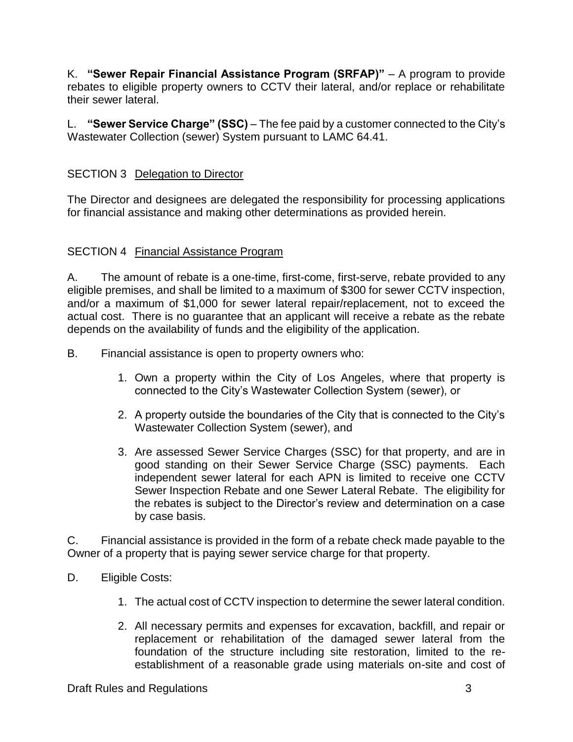K. **"Sewer Repair Financial Assistance Program (SRFAP)"** – A program to provide rebates to eligible property owners to CCTV their lateral, and/or replace or rehabilitate their sewer lateral.

L. **"Sewer Service Charge" (SSC)** – The fee paid by a customer connected to the City's Wastewater Collection (sewer) System pursuant to LAMC 64.41.

### SECTION 3 Delegation to Director

The Director and designees are delegated the responsibility for processing applications for financial assistance and making other determinations as provided herein.

### SECTION 4 Financial Assistance Program

A. The amount of rebate is a one-time, first-come, first-serve, rebate provided to any eligible premises, and shall be limited to a maximum of \$300 for sewer CCTV inspection, and/or a maximum of \$1,000 for sewer lateral repair/replacement, not to exceed the actual cost. There is no guarantee that an applicant will receive a rebate as the rebate depends on the availability of funds and the eligibility of the application.

B. Financial assistance is open to property owners who:

- 1. Own a property within the City of Los Angeles, where that property is connected to the City's Wastewater Collection System (sewer), or
- 2. A property outside the boundaries of the City that is connected to the City's Wastewater Collection System (sewer), and
- 3. Are assessed Sewer Service Charges (SSC) for that property, and are in good standing on their Sewer Service Charge (SSC) payments. Each independent sewer lateral for each APN is limited to receive one CCTV Sewer Inspection Rebate and one Sewer Lateral Rebate. The eligibility for the rebates is subject to the Director's review and determination on a case by case basis.

C. Financial assistance is provided in the form of a rebate check made payable to the Owner of a property that is paying sewer service charge for that property.

- D. Eligible Costs:
	- 1. The actual cost of CCTV inspection to determine the sewer lateral condition.
	- 2. All necessary permits and expenses for excavation, backfill, and repair or replacement or rehabilitation of the damaged sewer lateral from the foundation of the structure including site restoration, limited to the reestablishment of a reasonable grade using materials on-site and cost of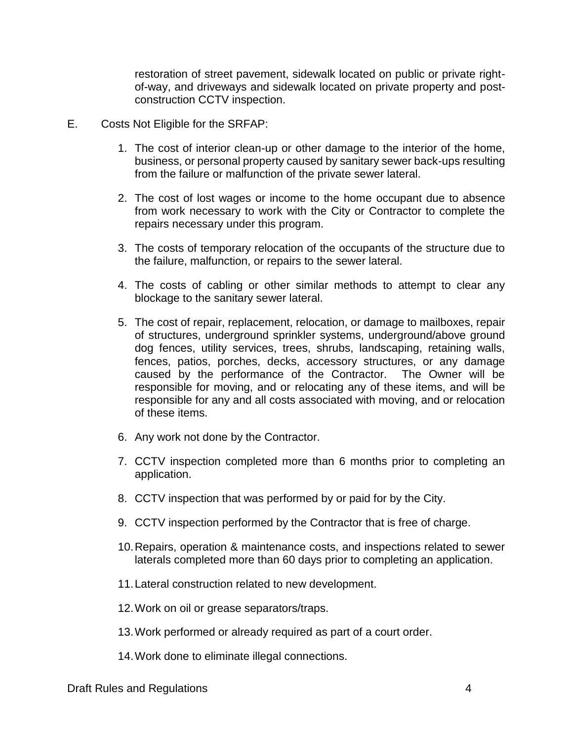restoration of street pavement, sidewalk located on public or private rightof-way, and driveways and sidewalk located on private property and postconstruction CCTV inspection.

- E. Costs Not Eligible for the SRFAP:
	- 1. The cost of interior clean-up or other damage to the interior of the home, business, or personal property caused by sanitary sewer back-ups resulting from the failure or malfunction of the private sewer lateral.
	- 2. The cost of lost wages or income to the home occupant due to absence from work necessary to work with the City or Contractor to complete the repairs necessary under this program.
	- 3. The costs of temporary relocation of the occupants of the structure due to the failure, malfunction, or repairs to the sewer lateral.
	- 4. The costs of cabling or other similar methods to attempt to clear any blockage to the sanitary sewer lateral.
	- 5. The cost of repair, replacement, relocation, or damage to mailboxes, repair of structures, underground sprinkler systems, underground/above ground dog fences, utility services, trees, shrubs, landscaping, retaining walls, fences, patios, porches, decks, accessory structures, or any damage caused by the performance of the Contractor. The Owner will be responsible for moving, and or relocating any of these items, and will be responsible for any and all costs associated with moving, and or relocation of these items.
	- 6. Any work not done by the Contractor.
	- 7. CCTV inspection completed more than 6 months prior to completing an application.
	- 8. CCTV inspection that was performed by or paid for by the City.
	- 9. CCTV inspection performed by the Contractor that is free of charge.
	- 10.Repairs, operation & maintenance costs, and inspections related to sewer laterals completed more than 60 days prior to completing an application.
	- 11.Lateral construction related to new development.
	- 12.Work on oil or grease separators/traps.
	- 13.Work performed or already required as part of a court order.
	- 14.Work done to eliminate illegal connections.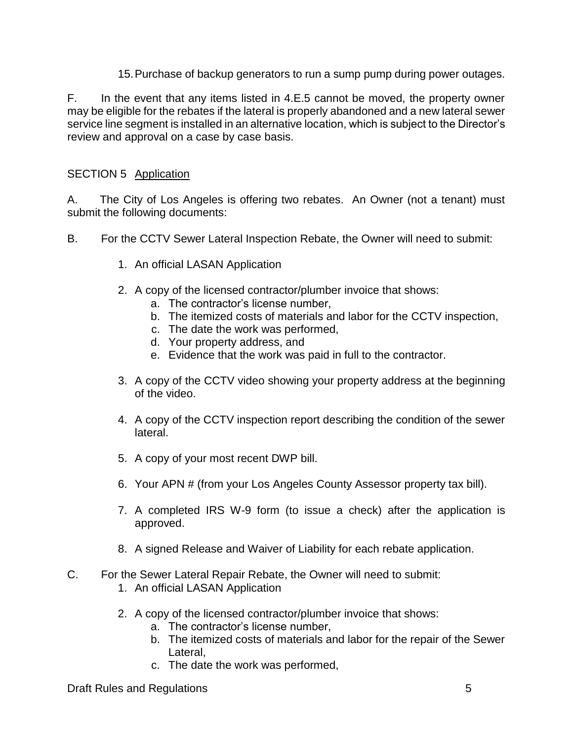15.Purchase of backup generators to run a sump pump during power outages.

F. In the event that any items listed in 4.E.5 cannot be moved, the property owner may be eligible for the rebates if the lateral is properly abandoned and a new lateral sewer service line segment is installed in an alternative location, which is subject to the Director's review and approval on a case by case basis.

## SECTION 5 Application

A. The City of Los Angeles is offering two rebates. An Owner (not a tenant) must submit the following documents:

- B. For the CCTV Sewer Lateral Inspection Rebate, the Owner will need to submit:
	- 1. An official LASAN Application
	- 2. A copy of the licensed contractor/plumber invoice that shows:
		- a. The contractor's license number,
		- b. The itemized costs of materials and labor for the CCTV inspection,
		- c. The date the work was performed,
		- d. Your property address, and
		- e. Evidence that the work was paid in full to the contractor.
	- 3. A copy of the CCTV video showing your property address at the beginning of the video.
	- 4. A copy of the CCTV inspection report describing the condition of the sewer lateral.
	- 5. A copy of your most recent DWP bill.
	- 6. Your APN # (from your Los Angeles County Assessor property tax bill).
	- 7. A completed IRS W-9 form (to issue a check) after the application is approved.
	- 8. A signed Release and Waiver of Liability for each rebate application.
- C. For the Sewer Lateral Repair Rebate, the Owner will need to submit:
	- 1. An official LASAN Application
	- 2. A copy of the licensed contractor/plumber invoice that shows:
		- a. The contractor's license number,
		- b. The itemized costs of materials and labor for the repair of the Sewer Lateral,
		- c. The date the work was performed,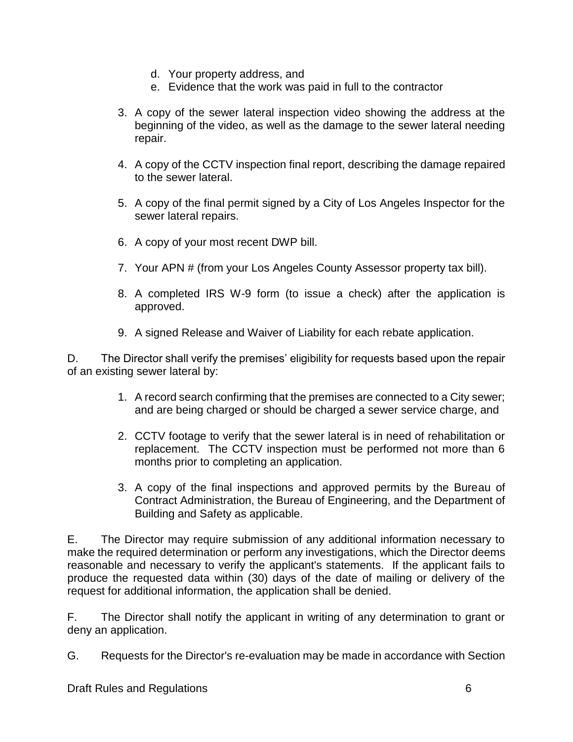- d. Your property address, and
- e. Evidence that the work was paid in full to the contractor
- 3. A copy of the sewer lateral inspection video showing the address at the beginning of the video, as well as the damage to the sewer lateral needing repair.
- 4. A copy of the CCTV inspection final report, describing the damage repaired to the sewer lateral.
- 5. A copy of the final permit signed by a City of Los Angeles Inspector for the sewer lateral repairs.
- 6. A copy of your most recent DWP bill.
- 7. Your APN # (from your Los Angeles County Assessor property tax bill).
- 8. A completed IRS W-9 form (to issue a check) after the application is approved.
- 9. A signed Release and Waiver of Liability for each rebate application.

D. The Director shall verify the premises' eligibility for requests based upon the repair of an existing sewer lateral by:

- 1. A record search confirming that the premises are connected to a City sewer; and are being charged or should be charged a sewer service charge, and
- 2. CCTV footage to verify that the sewer lateral is in need of rehabilitation or replacement. The CCTV inspection must be performed not more than 6 months prior to completing an application.
- 3. A copy of the final inspections and approved permits by the Bureau of Contract Administration, the Bureau of Engineering, and the Department of Building and Safety as applicable.

E. The Director may require submission of any additional information necessary to make the required determination or perform any investigations, which the Director deems reasonable and necessary to verify the applicant's statements. If the applicant fails to produce the requested data within (30) days of the date of mailing or delivery of the request for additional information, the application shall be denied.

F. The Director shall notify the applicant in writing of any determination to grant or deny an application.

G. Requests for the Director's re-evaluation may be made in accordance with Section